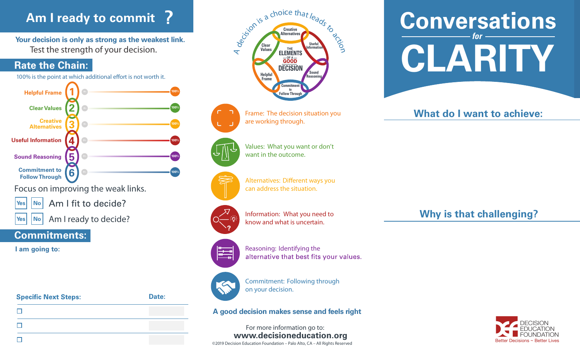# **Am I ready to commit ?**

**Your decision is only as strong as the weakest link.** Test the strength of your decision.

## **Rate the Chain:**

100% is the point at which additional effort is not worth it.



Am I ready to decide?  $|Yes|$  **No** 

## **Commitments:**

**I am going to:**

**Specific Next Steps: Date:**  $\Box$  $\Box$  $\Box$ 



Frame: The decision situation you are working through.

Values: What you want or don't want in the outcome.



Alternatives: Different ways you

can address the situation.



Information: What you need to know and what is uncertain.



Reasoning: Identifying the alternative that best fits your values.



Commitment: Following through on your decision.

**A good decision makes sense and feels right**

**www.decisioneducation.org** For more information go to: ©2019 Decision Education Foundation – Palo Alto, CA – All Rights Reserved



## **What do I want to achieve:**

**Why is that challenging?**